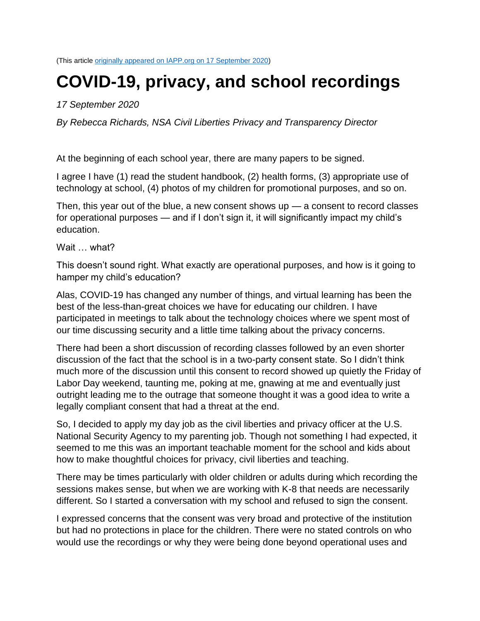(This article [originally appeared on IAPP.org on 17 September 2020\)](https://iapp.org/news/a/covid-19-privacy-and-school-recordings/)

## **COVID-19, privacy, and school recordings**

## *17 September 2020*

*By Rebecca Richards, NSA Civil Liberties Privacy and Transparency Director*

At the beginning of each school year, there are many papers to be signed.

I agree I have (1) read the student handbook, (2) health forms, (3) appropriate use of technology at school, (4) photos of my children for promotional purposes, and so on.

Then, this year out of the blue, a new consent shows up  $-$  a consent to record classes for operational purposes — and if I don't sign it, it will significantly impact my child's education.

Wait what?

This doesn't sound right. What exactly are operational purposes, and how is it going to hamper my child's education?

Alas, COVID-19 has changed any number of things, and virtual learning has been the best of the less-than-great choices we have for educating our children. I have participated in meetings to talk about the technology choices where we spent most of our time discussing security and a little time talking about the privacy concerns.

There had been a short discussion of recording classes followed by an even shorter discussion of the fact that the school is in a two-party consent state. So I didn't think much more of the discussion until this consent to record showed up quietly the Friday of Labor Day weekend, taunting me, poking at me, gnawing at me and eventually just outright leading me to the outrage that someone thought it was a good idea to write a legally compliant consent that had a threat at the end.

So, I decided to apply my day job as the civil liberties and privacy officer at the U.S. National Security Agency to my parenting job. Though not something I had expected, it seemed to me this was an important teachable moment for the school and kids about how to make thoughtful choices for privacy, civil liberties and teaching.

There may be times particularly with older children or adults during which recording the sessions makes sense, but when we are working with K-8 that needs are necessarily different. So I started a conversation with my school and refused to sign the consent.

I expressed concerns that the consent was very broad and protective of the institution but had no protections in place for the children. There were no stated controls on who would use the recordings or why they were being done beyond operational uses and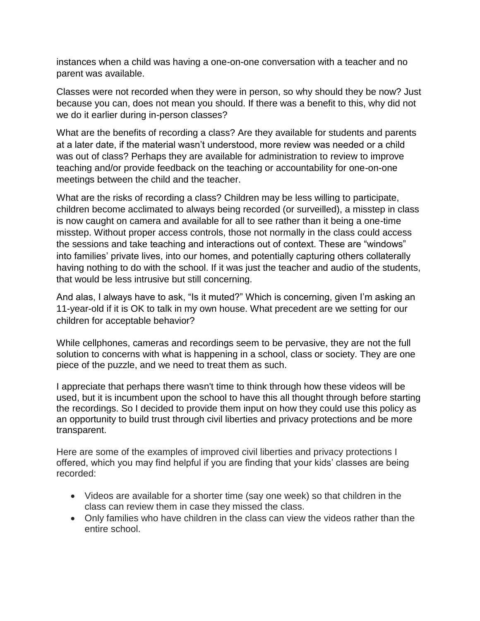instances when a child was having a one-on-one conversation with a teacher and no parent was available.

Classes were not recorded when they were in person, so why should they be now? Just because you can, does not mean you should. If there was a benefit to this, why did not we do it earlier during in-person classes?

What are the benefits of recording a class? Are they available for students and parents at a later date, if the material wasn't understood, more review was needed or a child was out of class? Perhaps they are available for administration to review to improve teaching and/or provide feedback on the teaching or accountability for one-on-one meetings between the child and the teacher.

What are the risks of recording a class? Children may be less willing to participate, children become acclimated to always being recorded (or surveilled), a misstep in class is now caught on camera and available for all to see rather than it being a one-time misstep. Without proper access controls, those not normally in the class could access the sessions and take teaching and interactions out of context. These are "windows" into families' private lives, into our homes, and potentially capturing others collaterally having nothing to do with the school. If it was just the teacher and audio of the students, that would be less intrusive but still concerning.

And alas, I always have to ask, "Is it muted?" Which is concerning, given I'm asking an 11-year-old if it is OK to talk in my own house. What precedent are we setting for our children for acceptable behavior?

While cellphones, cameras and recordings seem to be pervasive, they are not the full solution to concerns with what is happening in a school, class or society. They are one piece of the puzzle, and we need to treat them as such.

I appreciate that perhaps there wasn't time to think through how these videos will be used, but it is incumbent upon the school to have this all thought through before starting the recordings. So I decided to provide them input on how they could use this policy as an opportunity to build trust through civil liberties and privacy protections and be more transparent.

Here are some of the examples of improved civil liberties and privacy protections I offered, which you may find helpful if you are finding that your kids' classes are being recorded:

- Videos are available for a shorter time (say one week) so that children in the class can review them in case they missed the class.
- Only families who have children in the class can view the videos rather than the entire school.